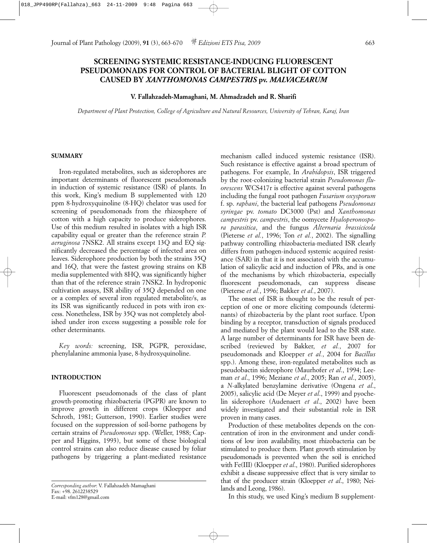# **SCREENING SYSTEMIC RESISTANCE-INDUCING FLUORESCENT PSEUDOMONADS FOR CONTROL OF BACTERIAL BLIGHT OF COTTON CAUSED BY** *XANTHOMONAS CAMPESTRIS* **pv.** *MALVACEARUM*

# **V. Fallahzadeh-Mamaghani, M. Ahmadzadeh and R. Sharifi**

*Department of Plant Protection, College of Agriculture and Natural Resources, University of Tehran, Karaj, Iran*

#### **SUMMARY**

Iron-regulated metabolites, such as siderophores are important determinants of fluorescent pseudomonads in induction of systemic resistance (ISR) of plants. In this work, King's medium B supplemented with 120 ppm 8-hydroxyquinoline (8-HQ) chelator was used for screening of pseudomonads from the rhizosphere of cotton with a high capacity to produce siderophores. Use of this medium resulted in isolates with a high ISR capability equal or greater than the reference strain *P. aeruginosa* 7NSK2. All strains except 13Q and EQ significantly decreased the percentage of infected area on leaves. Siderophore production by both the strains 35Q and 16Q, that were the fastest growing strains on KB media supplemented with 8HQ, was significantly higher than that of the reference strain 7NSK2. In hydroponic cultivation assays, ISR ability of 35Q depended on one or a complex of several iron regulated metabolite/s, as its ISR was significantly reduced in pots with iron excess. Nonetheless, ISR by 35Q was not completely abolished under iron excess suggesting a possible role for other determinants.

*Key words:* screening, ISR, PGPR, peroxidase, phenylalanine ammonia lyase, 8-hydroxyquinoline.

## **INTRODUCTION**

Fluorescent pseudomonads of the class of plant growth-promoting rhizobacteria (PGPR) are known to improve growth in different crops (Kloepper and Schroth, 1981; Gutterson, 1990). Earlier studies were focused on the suppression of soil-borne pathogens by certain strains of *Pseudomonas* spp. (Weller, 1988; Capper and Higgins, 1993), but some of these biological control strains can also reduce disease caused by foliar pathogens by triggering a plant-mediated resistance

mechanism called induced systemic resistance (ISR). Such resistance is effective against a broad spectrum of pathogens. For example, In *Arabidopsis*, ISR triggered by the root-colonizing bacterial strain *Pseudomonas fluorescens* WCS417r is effective against several pathogens including the fungal root pathogen *Fusarium oxysporum* f. sp. *raphani*, the bacterial leaf pathogens *Pseudomonas syringae* pv. *tomato* DC3000 (Pst) and *Xanthomonas campestris* pv. *campestris*, the oomycete *Hyaloperonospora parasitica*, and the fungus *Alternaria brassicicola* (Pieterse *et al.*, 1996; Ton *et al.*, 2002). The signalling pathway controlling rhizobacteria-mediated ISR clearly differs from pathogen-induced systemic acquired resistance (SAR) in that it is not associated with the accumulation of salicylic acid and induction of PRs, and is one of the mechanisms by which rhizobacteria, especially fluorescent pseudomonads, can suppress disease (Pieterse *et al.*, 1996; Bakker *et al.*, 2007).

The onset of ISR is thought to be the result of perception of one or more eliciting compounds (determinants) of rhizobacteria by the plant root surface. Upon binding by a receptor, transduction of signals produced and mediated by the plant would lead to the ISR state. A large number of determinants for ISR have been described (reviewed by Bakker, *et al.*, 2007 for pseudomonads and Kloepper *et al.*, 2004 for *Bacillus* spp.). Among these, iron-regulated metabolites such as pseudobactin siderophore (Maurhofer *et al*., 1994; Leeman *et al*., 1996; Meziane *et al*., 2005; Ran *et al*., 2005), a *N*-alkylated benzylamine derivative (Ongena *et al*., 2005), salicylic acid (De Meyer *et al*., 1999) and pyochelin siderophore (Audenaert *et al*., 2002) have been widely investigated and their substantial role in ISR proven in many cases.

Production of these metabolites depends on the concentration of iron in the environment and under conditions of low iron availability, most rhizobacteria can be stimulated to produce them. Plant growth stimulation by pseudomonads is prevented when the soil is enriched with Fe(III) (Kloepper *et al*., 1980). Purified siderophores exhibit a disease suppressive effect that is very similar to that of the producer strain (Kloepper *et al*., 1980; Neilands and Leong, 1986).

In this study, we used King's medium B supplement-

*Corresponding author*: V. Fallahzadeh-Mamaghani Fax: +98. 2612238529 E-mail: vfm128@gmail.com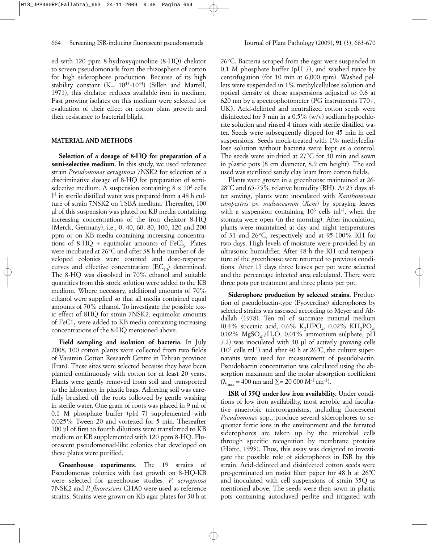ed with 120 ppm 8-hydroxyquinoline (8-HQ) chelator to screen pseudomonads from the rhizosphere of cotton for high siderophore production. Because of its high stability constant  $(K= 10^{33}$ -10<sup>34</sup>) (Sillen and Martell, 1971), this chelator reduces available iron in medium. Fast growing isolates on this medium were selected for evaluation of their effect on cotton plant growth and their resistance to bacterial blight.

# **MATERIAL AND METHODS**

**Selection of a dosage of 8-HQ for preparation of a semi-selective medium.** In this study, we used reference strain *Pseudomonas aeruginosa* 7NSK2 for selection of a discriminative dosage of 8-HQ for preparation of semiselective medium. A suspension containing  $8 \times 10^2$  cells l -1 in sterile distilled water was prepared from a 48 h culture of strain 7NSK2 on TSBA medium. Thereafter, 100 µl of this suspension was plated on KB media containing increasing concentrations of the iron chelator 8-HQ (Merck, Germany), i.e., 0, 40, 60, 80, 100, 120 and 200 ppm or on KB media containing increasing concentrations of 8-HQ + equimolar amounts of  $FeCl<sub>2</sub>$ . Plates were incubated at 26°C and after 38 h the number of developed colonies were counted and dose-response curves and effective concentration  $(EC_{50})$  determined. The 8-HQ was dissolved in 70% ethanol and suitable quantities from this stock solution were added to the KB medium. Where necessary, additional amounts of 70% ethanol were supplied so that all media contained equal amounts of 70% ethanol. To investigate the possible toxic effect of 8HQ for strain 7NSK2, equimolar amounts of FeC1<sub>3</sub> were added to KB media containing increasing concentrations of the 8-HQ mentioned above.

**Field sampling and isolation of bacteria.** In July 2008, 100 cotton plants were collected from two fields of Varamin Cotton Research Centre in Tehran province (Iran). These sites were selected because they have been planted continuously with cotton for at least 20 years. Plants were gently removed from soil and transported to the laboratory in plastic bags. Adhering soil was carefully brushed off the roots followed by gentle washing in sterile water. One gram of roots was placed in 9 ml of 0.1 M phosphate buffer (pH 7) supplemented with 0.025% Tween 20 and vortexed for 5 min. Thereafter 100 µl of first to fourth dilutions were transferred to KB medium or KB supplemented with 120 ppm 8-HQ. Fluorescent pseudomonad-like colonies that developed on these plates were purified.

**Greenhouse experiments**. The 19 strains of Pseudomonas colonies with fast growth on 8-HQ-KB were selected for greenhouse studies*. P. aeruginosa* 7NSK2 and *P. fluorescens* CHA0 were used as reference strains. Strains were grown on KB agar plates for 30 h at

26°C. Bacteria scraped from the agar were suspended in 0.1 M phosphate buffer (pH 7), and washed twice by centrifugation (for 10 min at 6,000 rpm). Washed pellets were suspended in 1% methylcellulose solution and optical density of these suspensions adjusted to 0.6 at 620 nm by a spectrophotometer (PG instruments T70+, UK**).** Acid-delinted and neutralized cotton seeds were disinfected for 3 min in a  $0.5\%$  (w/v) sodium hypochlorite solution and rinsed 4 times with sterile distilled water. Seeds were subsequently dipped for 45 min in cell suspensions. Seeds mock-treated with 1% methylcellulose solution without bacteria were kept as a control. The seeds were air-dried at 27°C for 30 min and sown in plastic pots (8 cm diameter, 8.9 cm height). The soil used was sterilized sandy clay loam from cotton fields.

Plants were grown in a greenhouse maintained at 26- 28ºC and 65-75% relative humidity (RH). At 25 days after sowing, plants were inoculated with *Xanthomonas campestris* pv. *malvacearum* (*Xcm*) by spraying leaves with a suspension containing  $10^6$  cells ml<sup>-1</sup>, when the stomata were open (in the morning). After inoculation, plants were maintained at day and night temperatures of 31 and 26°C, respectively and at 95-100% RH for two days. High levels of moisture were provided by an ultrasonic humidifier. After 48 h the RH and temperature of the greenhouse were returned to previous conditions. After 15 days three leaves per pot were selected and the percentage infected area calculated. There were three pots per treatment and three plants per pot.

**Siderophore production by selected strains.** Production of pseudobactin-type (Pyoverdine) siderophores by selected strains was assessed according to Meyer and Abdallah (1978). Ten ml of succinate minimal medium (0.4% succinic acid, 0.6% K<sub>2</sub>HPO<sub>4</sub>, 0.02% KH<sub>2</sub>PO<sub>4</sub>, 0.02%  $MgSO<sub>4</sub>$ .7H<sub>2</sub>O, 0.01% ammonium sulphate, pH 7.2) was inoculated with 30 µl of actively growing cells  $(10<sup>5</sup>$  cells ml<sup>-1</sup>) and after 40 h at 26<sup>o</sup>C, the culture supernatants were used for measurement of pseudobactin. Pseudobactin concentration was calculated using the absorption maximum and the molar absorption coefficient  $(\lambda_{\text{max}} = 400 \text{ nm and } \Sigma = 20000 \text{ M}^{-1} \text{ cm}^{-1}).$ 

**ISR of 35Q under low iron availability.** Under conditions of low iron availability, most aerobic and facultative anaerobic microorganisms, including fluorescent *Pseudomonas* spp., produce several siderophores to sequester ferric ions in the environment and the ferrated siderophores are taken up by the microbial cells through specific recognition by membrane proteins (Höfte, 1993). Thus, this assay was designed to investigate the possible role of siderophores in ISR by this strain. Acid-delinted and disinfected cotton seeds were pre-germinated on moist filter paper for 48 h at 26ºC and inoculated with cell suspensions of strain 35Q as mentioned above. The seeds were then sown in plastic pots containing autoclaved perlite and irrigated with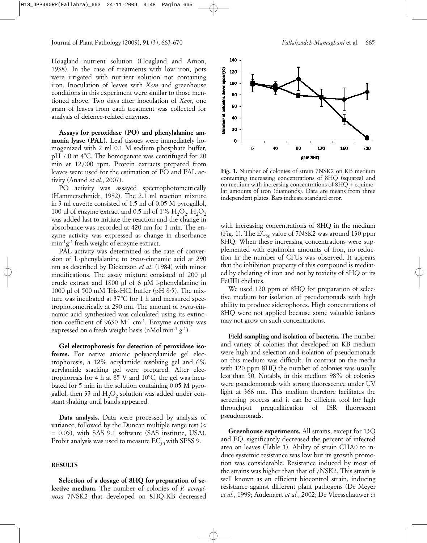Hoagland nutrient solution (Hoagland and Arnon, 1938). In the case of treatments with low iron, pots were irrigated with nutrient solution not containing iron. Inoculation of leaves with *Xcm* and greenhouse conditions in this experiment were similar to those mentioned above. Two days after inoculation of *Xcm*, one gram of leaves from each treatment was collected for analysis of defence-related enzymes.

**Assays for peroxidase (PO) and phenylalanine ammonia lyase (PAL).** Leaf tissues were immediately homogenized with 2 ml 0.1 M sodium phosphate buffer, pH 7.0 at 4ºC. The homogenate was centrifuged for 20 min at 12,000 rpm. Protein extracts prepared from leaves were used for the estimation of PO and PAL activity (Anand *et al*., 2007).

PO activity was assayed spectrophotometrically (Hammerschmidt, 1982). The 2.1 ml reaction mixture in 3 ml cuvette consisted of 1.5 ml of 0.05 M pyrogallol, 100 µl of enzyme extract and 0.5 ml of 1%  $H_2O_2$ .  $H_2O_2$ was added last to initiate the reaction and the change in absorbance was recorded at 420 nm for 1 min. The enzyme activity was expressed as change in absorbance  $min^{-1}g^{-1}$  fresh weight of enzyme extract.

PAL activity was determined as the rate of conversion of L-phenylalanine to *trans*-cinnamic acid at 290 nm as described by Dickerson *et al.* (1984) with minor modifications. The assay mixture consisted of 200 µl crude extract and 1800 µl of 6 µM l-phenylalanine in 1000 µl of 500 mM Tris-HCl buffer (pH 8·5). The mixture was incubated at 37°C for 1 h and measured spectrophotometrically at 290 nm. The amount of *trans*-cinnamic acid synthesized was calculated using its extinction coefficient of 9630  $M<sup>-1</sup>$  cm<sup>-1</sup>. Enzyme activity was expressed on a fresh weight basis (nMol min<sup>-1</sup> g<sup>-1</sup>).

**Gel electrophoresis for detection of peroxidase isoforms.** For native anionic polyacrylamide gel electrophoresis, a 12% acrylamide resolving gel and 6% acrylamide stacking gel were prepared. After electrophoresis for 4 h at 85 V and  $10^{\circ}$ C, the gel was incubated for 5 min in the solution containing 0.05 M pyrogallol, then 33 ml  $H_2O_2$  solution was added under constant shaking until bands appeared.

**Data analysis.** Data were processed by analysis of variance, followed by the Duncan multiple range test (< = 0.05), with SAS 9.1 software (SAS institute, USA). Probit analysis was used to measure  $EC_{50}$  with SPSS 9.

#### **RESULTS**

**Selection of a dosage of 8HQ for preparation of selective medium.** The number of colonies of *P. aeruginosa* 7NSK2 that developed on 8HQ-KB decreased



**Fig. 1.** Number of colonies of strain 7NSK2 on KB medium containing increasing concentrations of 8HQ (squares) and on medium with increasing concentrations of  $8H\dot{Q}$  + equimolar amounts of iron (diamonds). Data are means from three independent plates. Bars indicate standard error.

with increasing concentrations of 8HQ in the medium (Fig. 1). The  $EC_{50}$  value of 7NSK2 was around 130 ppm 8HQ. When these increasing concentrations were supplemented with equimolar amounts of iron, no reduction in the number of CFUs was observed. It appears that the inhibition property of this compound is mediated by chelating of iron and not by toxicity of 8HQ or its Fe(III) chelates.

We used 120 ppm of 8HQ for preparation of selective medium for isolation of pseudomonads with high ability to produce siderophores. High concentrations of 8HQ were not applied because some valuable isolates may not grow on such concentrations.

**Field sampling and isolation of bacteria.** The number and variety of colonies that developed on KB medium were high and selection and isolation of pseudomonads on this medium was difficult. In contrast on the media with 120 ppm 8HQ the number of colonies was usually less than 50. Notably, in this medium 98% of colonies were pseudomonads with strong fluorescence under UV light at 366 nm. This medium therefore facilitates the screening process and it can be efficient tool for high throughput prequalification of ISR fluorescent pseudomonads.

**Greenhouse experiments.** All strains, except for 13Q and EQ, significantly decreased the percent of infected area on leaves (Table 1). Ability of strain CHA0 to induce systemic resistance was low but its growth promotion was considerable. Resistance induced by most of the strains was higher than that of 7NSK2. This strain is well known as an efficient biocontrol strain, inducing resistance against different plant pathogens (De Meyer *et al.*, 1999; Audenaert *et al.*, 2002; De Vleesschauwer *et*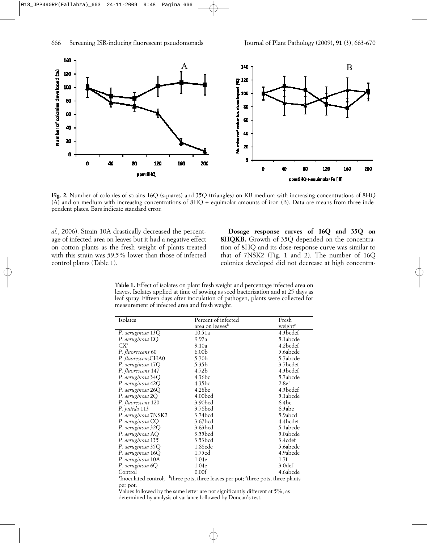

**Fig. 2.** Number of colonies of strains 16Q (squares) and 35Q (triangles) on KB medium with increasing concentrations of 8HQ (A) and on medium with increasing concentrations of 8HQ + equimolar amounts of iron (B). Data are means from three independent plates. Bars indicate standard error.

*al.*, 2006). Strain 10A drastically decreased the percentage of infected area on leaves but it had a negative effect on cotton plants as the fresh weight of plants treated with this strain was 59.5% lower than those of infected control plants (Table 1).

**Dosage response curves of 16Q and 35Q on 8HQKB.** Growth of 35Q depended on the concentration of 8HQ and its dose-response curve was similar to that of 7NSK2 (Fig. 1 and 2). The number of 16Q colonies developed did not decrease at high concentra-

**Table 1.** Effect of isolates on plant fresh weight and percentage infected area on leaves. Isolates applied at time of sowing as seed bacterization and at 25 days as leaf spray. Fifteen days after inoculation of pathogen, plants were collected for measurement of infected area and fresh weight.

| Isolates                       | Percent of infected         | Fresh               |
|--------------------------------|-----------------------------|---------------------|
|                                | area on leaves <sup>b</sup> | weight <sup>c</sup> |
| P. aeruginosa $13\overline{Q}$ | 10.51a                      | 4.3bcdef            |
| P. aeruginosa EQ               | 9.97a                       | 5.1abcde            |
| $CX^a$                         | 9.10a                       | 4.2bcdef            |
| P. fluorescens 60              | 6.00 <sub>b</sub>           | 5.6abcde            |
| P. fluorescensCHA0             | 5.70b                       | 5.7abcde            |
| P. aeruginosa 17Q              | 5.35b                       | 3.7bcdef            |
| P. fluorescens 147             | 4.72b                       | 4.3bcdef            |
| P. aeruginosa 34Q              | 4.36bc                      | 5.7abcde            |
| P. aeruginosa 42Q              | 4.35bc                      | 2.8ef               |
| P. aeruginosa 26Q              | 4.28 <sub>bc</sub>          | 4.3bcdef            |
| P. aeruginosa 2Q               | 4.00 <sub>bcd</sub>         | 5.1abcde            |
| P. fluorescens 120             | 3.90bcd                     | 6.4bc               |
| P. putida 113                  | 3.78bcd                     | 6.3abc              |
| P. aeruginosa 7NSK2            | 3.74bcd                     | 5.9abcd             |
| P. aeruginosa CQ               | 3.67bcd                     | 4.4bcdef            |
| P. aeruginosa 32Q              | 3.63bcd                     | 5.1abcde            |
| P. aeruginosa AQ               | 3.55 bcd                    | 5.0abcde            |
| P. aeruginosa 135              | 3.53 bcd                    | 3.4cdef             |
| P. aeruginosa 35Q              | 1.88cde                     | 5.6abcde            |
| P. aeruginosa 16Q              | 1.75ed                      | 4.9abcde            |
| P. aeruginosa 10A              | 1.04e                       | 1.7f                |
| P. aeruginosa 6Q               | 1.04e                       | 3.0def              |
| Control                        | 0.00f                       | 4.6abcde            |

<sup>a</sup>Inoculated control; <sup>b</sup>three pots, three leaves per pot; 'three pots, three plants per pot.

Values followed by the same letter are not significantly different at 5%, as determined by analysis of variance followed by Duncan's test.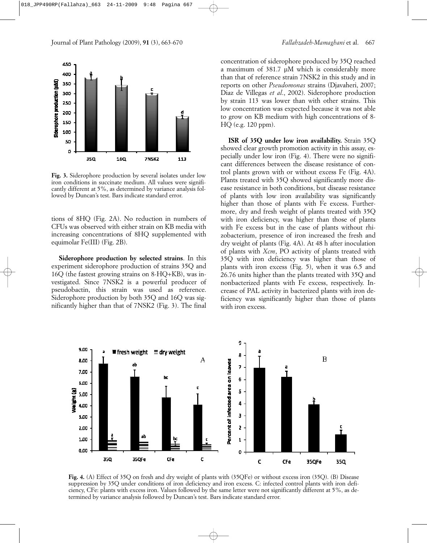

**Fig. 3.** Siderophore production by several isolates under low iron conditions in succinate medium. All values were significantly different at 5%, as determined by variance analysis followed by Duncan's test. Bars indicate standard error.

tions of 8HQ (Fig. 2A). No reduction in numbers of CFUs was observed with either strain on KB media with increasing concentrations of 8HQ supplemented with equimolar Fe(III) (Fig. 2B).

**Siderophore production by selected strains**. In this experiment siderophore production of strains 35Q and 16Q (the fastest growing strains on 8-HQ+KB), was investigated. Since 7NSK2 is a powerful producer of pseudobactin, this strain was used as reference. Siderophore production by both 35Q and 16Q was significantly higher than that of 7NSK2 (Fig. 3). The final

concentration of siderophore produced by 35Q reached a maximum of 381.7 µM which is considerably more than that of reference strain 7NSK2 in this study and in reports on other *Pseudomonas* strains (Djavaheri, 2007; Diaz de Villegas *et al*., 2002). Siderophore production by strain 113 was lower than with other strains. This low concentration was expected because it was not able to grow on KB medium with high concentrations of 8- HQ (e.g. 120 ppm).

**ISR of 35Q under low iron availability.** Strain 35Q showed clear growth promotion activity in this assay, especially under low iron (Fig. 4). There were no significant differences between the disease resistance of control plants grown with or without excess Fe (Fig. 4A). Plants treated with 35Q showed significantly more disease resistance in both conditions, but disease resistance of plants with low iron availability was significantly higher than those of plants with Fe excess. Furthermore, dry and fresh weight of plants treated with 35Q with iron deficiency, was higher than those of plants with Fe excess but in the case of plants without rhizobacterium, presence of iron increased the fresh and dry weight of plants (Fig. 4A). At 48 h after inoculation of plants with *Xcm*, PO activity of plants treated with 35Q with iron deficiency was higher than those of plants with iron excess (Fig. 5), when it was 6.5 and 26.76 units higher than the plants treated with 35Q and nonbacterized plants with Fe excess, respectively. Increase of PAL activity in bacterized plants with iron deficiency was significantly higher than those of plants with iron excess.



**Fig. 4.** (A) Effect of 35Q on fresh and dry weight of plants with (35QFe) or without excess iron (35Q). (B) Disease suppression by 35Q under conditions of iron deficiency and iron excess. C: infected control plants with iron deficiency, CFe: plants with excess iron. Values followed by the same letter were not significantly different at 5%, as determined by variance analysis followed by Duncan's test. Bars indicate standard error.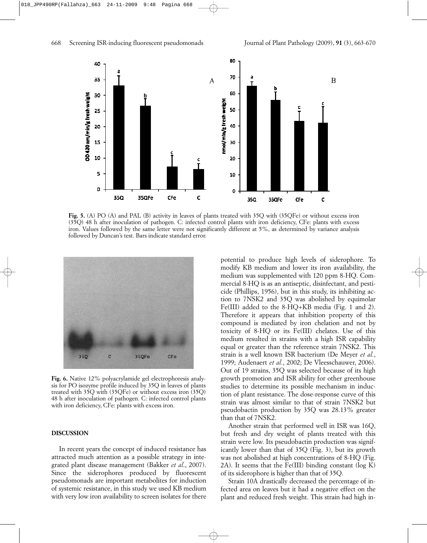

**Fig. 5.** (A) PO (A) and PAL (B) activity in leaves of plants treated with 35Q with (35QFe) or without excess iron (35Q) 48 h after inoculation of pathogen. C: infected control plants with iron deficiency, CFe: plants with excess iron. Values followed by the same letter were not significantly different at 5%, as determined by variance analysis followed by Duncan's test. Bars indicate standard error.



**Fig. 6.** Native 12% polyacrylamide gel electrophoresis analysis for PO isozyme profile induced by 35Q in leaves of plants treated with 35Q with (35QFe) or without excess iron (35Q) 48 h after inoculation of pathogen. C: infected control plants with iron deficiency, CFe: plants with excess iron.

## **DISCUSSION**

In recent years the concept of induced resistance has attracted much attention as a possible strategy in integrated plant disease management (Bakker *et al*., 2007). Since the siderophores produced by fluorescent pseudomonads are important metabolites for induction of systemic resistance, in this study we used KB medium with very low iron availability to screen isolates for there potential to produce high levels of siderophore. To modify KB medium and lower its iron availability, the medium was supplemented with 120 ppm 8-HQ. Commercial 8-HQ is as an antiseptic, disinfectant, and pesticide (Phillips, 1956), but in this study, its inhibiting action to 7NSK2 and 35Q was abolished by equimolar Fe(III) added to the 8-HQ+KB media (Fig. 1 and 2). Therefore it appears that inhibition property of this compound is mediated by iron chelation and not by toxicity of 8-HQ or its Fe(III) chelates. Use of this medium resulted in strains with a high ISR capability equal or greater than the reference strain 7NSK2. This strain is a well known ISR bacterium (De Meyer *et al.*, 1999; Audenaert *et al.*, 2002; De Vleesschauwer, 2006). Out of 19 strains, 35Q was selected because of its high growth promotion and ISR ability for other greenhouse studies to determine its possible mechanism in induction of plant resistance. The dose-response curve of this strain was almost similar to that of strain 7NSK2 but pseudobactin production by 35Q was 28.13% greater than that of 7NSK2.

Another strain that performed well in ISR was 16Q, but fresh and dry weight of plants treated with this strain were low. Its pseudobactin production was significantly lower than that of 35Q (Fig. 3), but its growth was not abolished at high concentrations of 8-HQ (Fig. 2A). It seems that the  $Fe(III)$  binding constant (log K) of its siderophore is higher than that of 35Q.

Strain 10A drastically decreased the percentage of infected area on leaves but it had a negative effect on the plant and reduced fresh weight. This strain had high in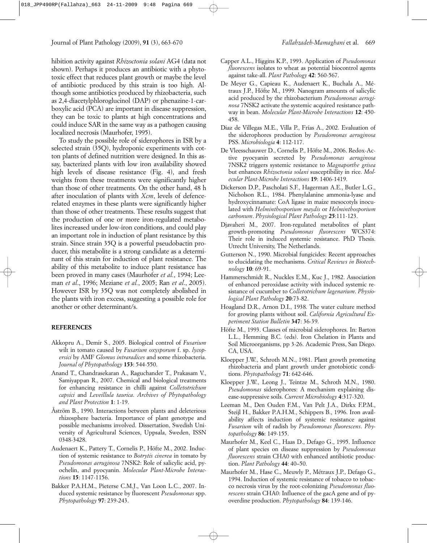hibition activity against *Rhizoctonia solani* AG4 (data not shown). Perhaps it produces an antibiotic with a phytotoxic effect that reduces plant growth or maybe the level of antibiotic produced by this strain is too high. Although some antibiotics produced by rhizobacteria, such as 2,4-diacetylphloroglucinol (DAP) or phenazine-1-carboxylic acid (PCA) are important in disease suppression, they can be toxic to plants at high concentrations and could induce SAR in the same way as a pathogen causing localized necrosis (Maurhofer, 1995).

To study the possible role of siderophores in ISR by a selected strain (35Q), hydroponic experiments with cotton plants of defined nutrition were designed. In this assay, bacterized plants with low iron availability showed high levels of disease resistance (Fig. 4), and fresh weights from these treatments were significantly higher than those of other treatments. On the other hand, 48 h after inoculation of plants with *Xcm*, levels of defencerelated enzymes in these plants were significantly higher than those of other treatments. These results suggest that the production of one or more iron-regulated metabolites increased under low-iron conditions, and could play an important role in induction of plant resistance by this strain. Since strain 35Q is a powerful pseudobactin producer, this metabolite is a strong candidate as a determinant of this strain for induction of plant resistance. The ability of this metabolite to induce plant resistance has been proved in many cases (Maurhofer *et al.*, 1994; Leeman *et al*., 1996; Meziane *et al.*, 2005; Ran *et al*., 2005). However ISR by 35Q was not completely abolished in the plants with iron excess, suggesting a possible role for another or other determinant/s.

# **REFERENCES**

- Akkopru A., Demir S., 2005. Biological control of *Fusarium* wilt in tomato caused by *Fusarium oxysporum* f. sp. *lycopersici* by AMF *Glomus intraradices* and some rhizobacteria. *Journal of Phytopathology* **153**: 544-550.
- Anand T., Chandrasekaran A., Raguchander T., Prakasam V., Samiyappan R., 2007. Chemical and biological treatments for enhancing resistance in chilli against *Colletotrichum capsici* and *Leveillula taurica*. *Archives of Phytopathology and Plant Protection* **1**: 1-19.
- Åström B., 1990. Interactions between plants and deleterious rhizosphere bacteria. Importance of plant genotype and possible mechanisms involved. Dissertation, Swedish University of Agricultural Sciences, Uppsala, Sweden, ISSN 0348-3428.
- Audenaert K., Pattery T., Cornelis P., Höfte M., 2002. Induction of systemic resistance to *Botrytis cinerea* in tomato by *Pseudomonas aeruginosa* 7NSK2: Role of salicylic acid, pyochelin, and pyocyanin. *Molecular Plant-Microbe Interactions* **15**: 1147-1156.
- Bakker P.A.H.M., Pieterse C.M.J., Van Loon L.C., 2007. Induced systemic resistance by fluorescent *Pseudomonas* spp. *Phytopathology* **97**: 239-243.
- Capper A.L., Higgins K.P., 1993. Application of *Pseudomonas fluorescens* isolates to wheat as potential biocontrol agents against take-all. *Plant Pathology* **42**: 560-567.
- De Meyer G., Capieau K., Audenaert K., Buchala A., Métraux J.P., Höfte M., 1999. Nanogram amounts of salicylic acid produced by the rhizobacterium *Pseudomonas aeruginosa* 7NSK2 activate the systemic acquired resistance pathway in bean. *Molecular Plant-Microbe Interactions* **12**: 450- 458.
- Diaz de Villegas M.E., Villa P., Frías A., 2002. Evaluation of the siderophores production by *Pseudomonas aeruginosa* PSS. *Microbiologia* **4**: 112-117.
- De Vleesschauwer D., Cornelis P., Höfte M., 2006. Redox-Active pyocyanin secreted by *Pseudomonas aeruginosa* 7NSK2 triggers systemic resistance to *Magnaporthe grisea* but enhances *Rhizoctonia solani* susceptibility in rice. *Molecular Plant-Microbe Interactions* **19**: 1406-1419.
- Dickerson D.P., Pascholati S.F., Hagerman A.E., Butler L.G., Nicholson R.L., 1984. Phenylalanine ammonia-lyase and hydroxycinnamate: CoA ligase in maize mesocotyls inoculated with *Helminthosporium maydis* or *Helminthosporium carbonum*. *Physiological Plant Pathology* **25**:111-123.
- Djavaheri M., 2007. Iron-regulated metabolites of plant growth-promoting *Pseudomonas fluorescens* WCS374: Their role in induced systemic resistance. PhD Thesis. Utrecht University, The Netherlands.
- Gutterson N., 1990. Microbial fungicides: Recent approaches to elucidating the mechanisms. *Critical Reviews in Biotechnology* **10**: 69-91.
- Hammerschmidt R., Nuckles E.M., Kuc J., 1982. Association of enhanced peroxidase activity with induced systemic resistance of cucumber to *Colletotrichum lagenarium*. *Physiological Plant Pathology* **20**:73-82.
- Hoagland D.R., Arnon D.I., 1938. The water culture method for growing plants without soil. *California Agricultural Experiment Station Bulletin* **347**: 36-39.
- Höfte M., 1993. Classes of microbial siderophores. In: Barton L.L., Hemming B.C. (eds). Iron Chelation in Plants and Soil Microorganisms, pp 3-26. Academic Press, San Diego. CA, USA.
- Kloepper J.W., Schroth M.N., 1981. Plant growth promoting rhizobacteria and plant growth under gnotobiotic conditions. *Phytopathology* **71**: 642-646.
- Kloepper J.W., Leong J., Teintze M., Schroth M.N., 1980. *Pseudomonas* siderophores: A mechanism explaining disease-suppressive soils. *Current Microbiology* **4**:317-320.
- Leeman M., Den Ouden F.M., Van Pelt J.A., Dirkx F.P.M., Steijl H., Bakker P.A.H.M., Schippers B., 1996. Iron availability affects induction of systemic resistance against *Fusarium* wilt of radish by *Pseudomonas fluorescens*. *Phytopathology* **86**: 149-155.
- Maurhofer M., Keel C., Haas D., Defago G., 1995. Influence of plant species on disease suppression by *Pseudomonas fluorescens* strain CHA0 with enhanced antibiotic production. *Plant Pathology* **44**: 40–50.
- Maurhofer M., Hase C., Meuwly P., Métraux J.P., Defago G., 1994. Induction of systemic resistance of tobacco to tobacco necrosis virus by the root-colonizing *Pseudomonas fluorescens* strain CHA0: Influence of the gacA gene and of pyoverdine production. *Phytopathology* **84**: 139-146.